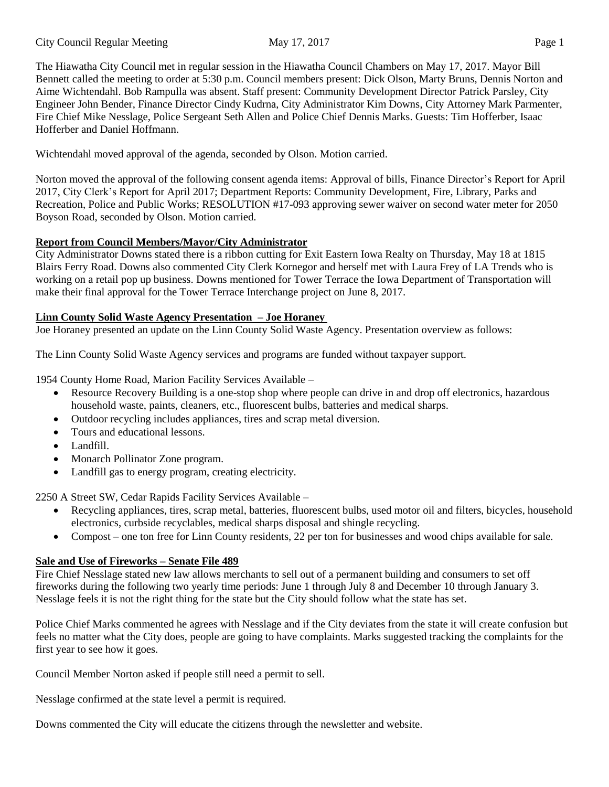The Hiawatha City Council met in regular session in the Hiawatha Council Chambers on May 17, 2017. Mayor Bill Bennett called the meeting to order at 5:30 p.m. Council members present: Dick Olson, Marty Bruns, Dennis Norton and Aime Wichtendahl. Bob Rampulla was absent. Staff present: Community Development Director Patrick Parsley, City Engineer John Bender, Finance Director Cindy Kudrna, City Administrator Kim Downs, City Attorney Mark Parmenter, Fire Chief Mike Nesslage, Police Sergeant Seth Allen and Police Chief Dennis Marks. Guests: Tim Hofferber, Isaac Hofferber and Daniel Hoffmann.

Wichtendahl moved approval of the agenda, seconded by Olson. Motion carried.

Norton moved the approval of the following consent agenda items: Approval of bills, Finance Director's Report for April 2017, City Clerk's Report for April 2017; Department Reports: Community Development, Fire, Library, Parks and Recreation, Police and Public Works; RESOLUTION #17-093 approving sewer waiver on second water meter for 2050 Boyson Road, seconded by Olson. Motion carried.

# **Report from Council Members/Mayor/City Administrator**

City Administrator Downs stated there is a ribbon cutting for Exit Eastern Iowa Realty on Thursday, May 18 at 1815 Blairs Ferry Road. Downs also commented City Clerk Kornegor and herself met with Laura Frey of LA Trends who is working on a retail pop up business. Downs mentioned for Tower Terrace the Iowa Department of Transportation will make their final approval for the Tower Terrace Interchange project on June 8, 2017.

## **Linn County Solid Waste Agency Presentation – Joe Horaney**

Joe Horaney presented an update on the Linn County Solid Waste Agency. Presentation overview as follows:

The Linn County Solid Waste Agency services and programs are funded without taxpayer support.

1954 County Home Road, Marion Facility Services Available –

- Resource Recovery Building is a one-stop shop where people can drive in and drop off electronics, hazardous household waste, paints, cleaners, etc., fluorescent bulbs, batteries and medical sharps.
- Outdoor recycling includes appliances, tires and scrap metal diversion.
- Tours and educational lessons.
- Landfill.
- Monarch Pollinator Zone program.
- Landfill gas to energy program, creating electricity.

2250 A Street SW, Cedar Rapids Facility Services Available –

- Recycling appliances, tires, scrap metal, batteries, fluorescent bulbs, used motor oil and filters, bicycles, household electronics, curbside recyclables, medical sharps disposal and shingle recycling.
- Compost one ton free for Linn County residents, 22 per ton for businesses and wood chips available for sale.

# **Sale and Use of Fireworks – Senate File 489**

Fire Chief Nesslage stated new law allows merchants to sell out of a permanent building and consumers to set off fireworks during the following two yearly time periods: June 1 through July 8 and December 10 through January 3. Nesslage feels it is not the right thing for the state but the City should follow what the state has set.

Police Chief Marks commented he agrees with Nesslage and if the City deviates from the state it will create confusion but feels no matter what the City does, people are going to have complaints. Marks suggested tracking the complaints for the first year to see how it goes.

Council Member Norton asked if people still need a permit to sell.

Nesslage confirmed at the state level a permit is required.

Downs commented the City will educate the citizens through the newsletter and website.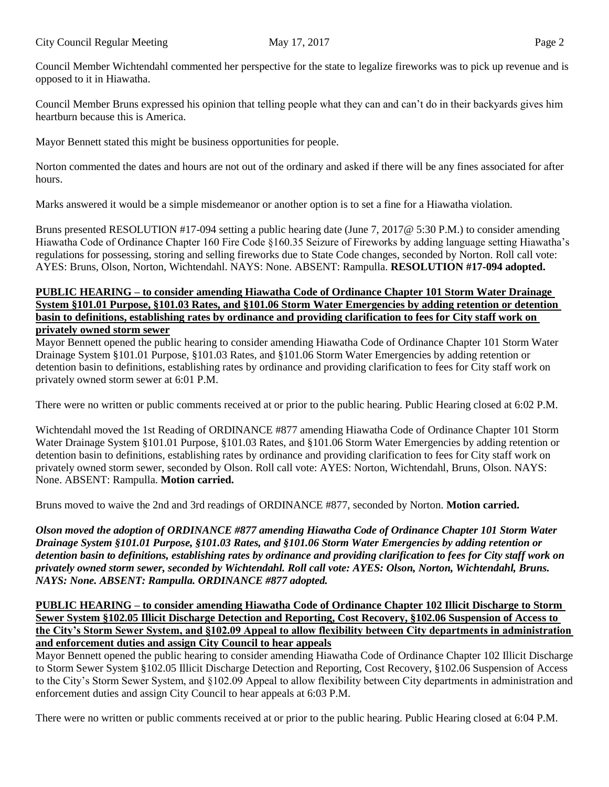Council Member Wichtendahl commented her perspective for the state to legalize fireworks was to pick up revenue and is opposed to it in Hiawatha.

Council Member Bruns expressed his opinion that telling people what they can and can't do in their backyards gives him heartburn because this is America.

Mayor Bennett stated this might be business opportunities for people.

Norton commented the dates and hours are not out of the ordinary and asked if there will be any fines associated for after hours.

Marks answered it would be a simple misdemeanor or another option is to set a fine for a Hiawatha violation.

Bruns presented RESOLUTION #17-094 setting a public hearing date (June 7, 2017@ 5:30 P.M.) to consider amending Hiawatha Code of Ordinance Chapter 160 Fire Code §160.35 Seizure of Fireworks by adding language setting Hiawatha's regulations for possessing, storing and selling fireworks due to State Code changes, seconded by Norton. Roll call vote: AYES: Bruns, Olson, Norton, Wichtendahl. NAYS: None. ABSENT: Rampulla. **RESOLUTION #17-094 adopted.** 

#### **PUBLIC HEARING – to consider amending Hiawatha Code of Ordinance Chapter 101 Storm Water Drainage System §101.01 Purpose, §101.03 Rates, and §101.06 Storm Water Emergencies by adding retention or detention basin to definitions, establishing rates by ordinance and providing clarification to fees for City staff work on privately owned storm sewer**

Mayor Bennett opened the public hearing to consider amending Hiawatha Code of Ordinance Chapter 101 Storm Water Drainage System §101.01 Purpose, §101.03 Rates, and §101.06 Storm Water Emergencies by adding retention or detention basin to definitions, establishing rates by ordinance and providing clarification to fees for City staff work on privately owned storm sewer at 6:01 P.M.

There were no written or public comments received at or prior to the public hearing. Public Hearing closed at 6:02 P.M.

Wichtendahl moved the 1st Reading of ORDINANCE #877 amending Hiawatha Code of Ordinance Chapter 101 Storm Water Drainage System §101.01 Purpose, §101.03 Rates, and §101.06 Storm Water Emergencies by adding retention or detention basin to definitions, establishing rates by ordinance and providing clarification to fees for City staff work on privately owned storm sewer, seconded by Olson. Roll call vote: AYES: Norton, Wichtendahl, Bruns, Olson. NAYS: None. ABSENT: Rampulla. **Motion carried.** 

Bruns moved to waive the 2nd and 3rd readings of ORDINANCE #877, seconded by Norton. **Motion carried.** 

*Olson moved the adoption of ORDINANCE #877 amending Hiawatha Code of Ordinance Chapter 101 Storm Water Drainage System §101.01 Purpose, §101.03 Rates, and §101.06 Storm Water Emergencies by adding retention or detention basin to definitions, establishing rates by ordinance and providing clarification to fees for City staff work on privately owned storm sewer, seconded by Wichtendahl. Roll call vote: AYES: Olson, Norton, Wichtendahl, Bruns. NAYS: None. ABSENT: Rampulla. ORDINANCE #877 adopted.* 

## **PUBLIC HEARING – to consider amending Hiawatha Code of Ordinance Chapter 102 Illicit Discharge to Storm Sewer System §102.05 Illicit Discharge Detection and Reporting, Cost Recovery, §102.06 Suspension of Access to the City's Storm Sewer System, and §102.09 Appeal to allow flexibility between City departments in administration and enforcement duties and assign City Council to hear appeals**

Mayor Bennett opened the public hearing to consider amending Hiawatha Code of Ordinance Chapter 102 Illicit Discharge to Storm Sewer System §102.05 Illicit Discharge Detection and Reporting, Cost Recovery, §102.06 Suspension of Access to the City's Storm Sewer System, and §102.09 Appeal to allow flexibility between City departments in administration and enforcement duties and assign City Council to hear appeals at 6:03 P.M.

There were no written or public comments received at or prior to the public hearing. Public Hearing closed at 6:04 P.M.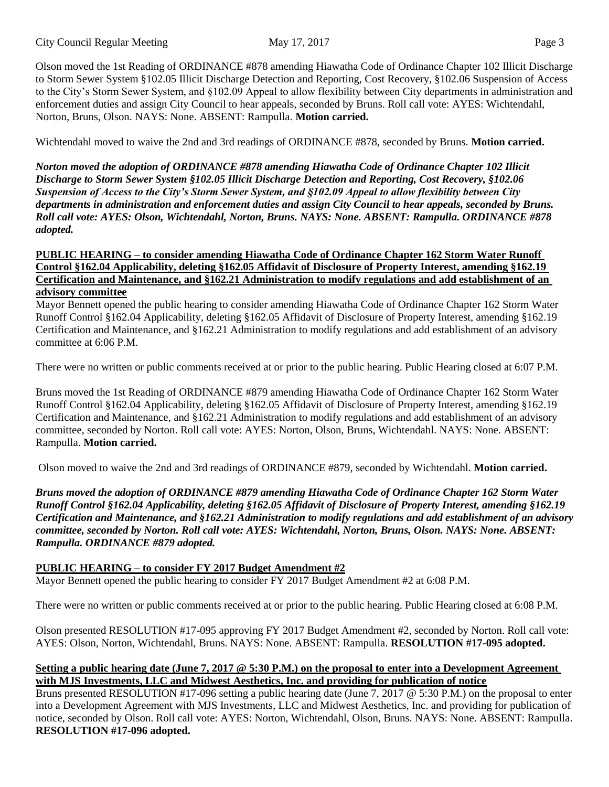Olson moved the 1st Reading of ORDINANCE #878 amending Hiawatha Code of Ordinance Chapter 102 Illicit Discharge to Storm Sewer System §102.05 Illicit Discharge Detection and Reporting, Cost Recovery, §102.06 Suspension of Access to the City's Storm Sewer System, and §102.09 Appeal to allow flexibility between City departments in administration and enforcement duties and assign City Council to hear appeals, seconded by Bruns. Roll call vote: AYES: Wichtendahl, Norton, Bruns, Olson. NAYS: None. ABSENT: Rampulla. **Motion carried.** 

Wichtendahl moved to waive the 2nd and 3rd readings of ORDINANCE #878, seconded by Bruns. **Motion carried.**

*Norton moved the adoption of ORDINANCE #878 amending Hiawatha Code of Ordinance Chapter 102 Illicit Discharge to Storm Sewer System §102.05 Illicit Discharge Detection and Reporting, Cost Recovery, §102.06 Suspension of Access to the City's Storm Sewer System, and §102.09 Appeal to allow flexibility between City departments in administration and enforcement duties and assign City Council to hear appeals, seconded by Bruns. Roll call vote: AYES: Olson, Wichtendahl, Norton, Bruns. NAYS: None. ABSENT: Rampulla. ORDINANCE #878 adopted.* 

#### **PUBLIC HEARING – to consider amending Hiawatha Code of Ordinance Chapter 162 Storm Water Runoff Control §162.04 Applicability, deleting §162.05 Affidavit of Disclosure of Property Interest, amending §162.19 Certification and Maintenance, and §162.21 Administration to modify regulations and add establishment of an advisory committee**

Mayor Bennett opened the public hearing to consider amending Hiawatha Code of Ordinance Chapter 162 Storm Water Runoff Control §162.04 Applicability, deleting §162.05 Affidavit of Disclosure of Property Interest, amending §162.19 Certification and Maintenance, and §162.21 Administration to modify regulations and add establishment of an advisory committee at 6:06 P.M.

There were no written or public comments received at or prior to the public hearing. Public Hearing closed at 6:07 P.M.

Bruns moved the 1st Reading of ORDINANCE #879 amending Hiawatha Code of Ordinance Chapter 162 Storm Water Runoff Control §162.04 Applicability, deleting §162.05 Affidavit of Disclosure of Property Interest, amending §162.19 Certification and Maintenance, and §162.21 Administration to modify regulations and add establishment of an advisory committee, seconded by Norton. Roll call vote: AYES: Norton, Olson, Bruns, Wichtendahl. NAYS: None. ABSENT: Rampulla. **Motion carried.** 

Olson moved to waive the 2nd and 3rd readings of ORDINANCE #879, seconded by Wichtendahl. **Motion carried.** 

*Bruns moved the adoption of ORDINANCE #879 amending Hiawatha Code of Ordinance Chapter 162 Storm Water Runoff Control §162.04 Applicability, deleting §162.05 Affidavit of Disclosure of Property Interest, amending §162.19 Certification and Maintenance, and §162.21 Administration to modify regulations and add establishment of an advisory committee, seconded by Norton. Roll call vote: AYES: Wichtendahl, Norton, Bruns, Olson. NAYS: None. ABSENT: Rampulla. ORDINANCE #879 adopted.* 

## **PUBLIC HEARING – to consider FY 2017 Budget Amendment #2**

Mayor Bennett opened the public hearing to consider FY 2017 Budget Amendment #2 at 6:08 P.M.

There were no written or public comments received at or prior to the public hearing. Public Hearing closed at 6:08 P.M.

Olson presented RESOLUTION #17-095 approving FY 2017 Budget Amendment #2, seconded by Norton. Roll call vote: AYES: Olson, Norton, Wichtendahl, Bruns. NAYS: None. ABSENT: Rampulla. **RESOLUTION #17-095 adopted.** 

#### **Setting a public hearing date (June 7, 2017 @ 5:30 P.M.) on the proposal to enter into a Development Agreement with MJS Investments, LLC and Midwest Aesthetics, Inc. and providing for publication of notice**

Bruns presented RESOLUTION #17-096 setting a public hearing date (June 7, 2017 @ 5:30 P.M.) on the proposal to enter into a Development Agreement with MJS Investments, LLC and Midwest Aesthetics, Inc. and providing for publication of notice, seconded by Olson. Roll call vote: AYES: Norton, Wichtendahl, Olson, Bruns. NAYS: None. ABSENT: Rampulla. **RESOLUTION #17-096 adopted.**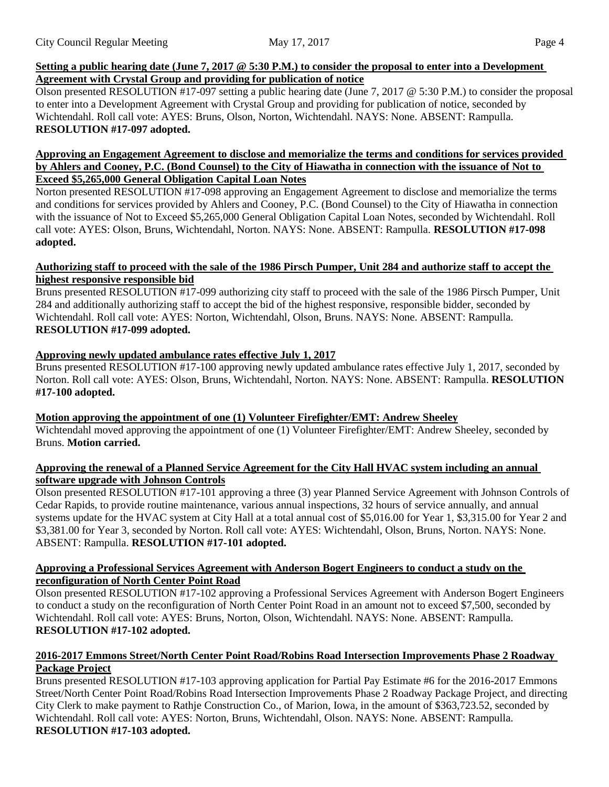## Setting a public hearing date (June 7, 2017 @ 5:30 P.M.) to consider the proposal to enter into a Development **Agreement with Crystal Group and providing for publication of notice**

Olson presented RESOLUTION #17-097 setting a public hearing date (June 7, 2017 @ 5:30 P.M.) to consider the proposal to enter into a Development Agreement with Crystal Group and providing for publication of notice, seconded by Wichtendahl. Roll call vote: AYES: Bruns, Olson, Norton, Wichtendahl. NAYS: None. ABSENT: Rampulla. **RESOLUTION #17-097 adopted.** 

#### **Approving an Engagement Agreement to disclose and memorialize the terms and conditions for services provided by Ahlers and Cooney, P.C. (Bond Counsel) to the City of Hiawatha in connection with the issuance of Not to Exceed \$5,265,000 General Obligation Capital Loan Notes**

Norton presented RESOLUTION #17-098 approving an Engagement Agreement to disclose and memorialize the terms and conditions for services provided by Ahlers and Cooney, P.C. (Bond Counsel) to the City of Hiawatha in connection with the issuance of Not to Exceed \$5,265,000 General Obligation Capital Loan Notes, seconded by Wichtendahl. Roll call vote: AYES: Olson, Bruns, Wichtendahl, Norton. NAYS: None. ABSENT: Rampulla. **RESOLUTION #17-098 adopted.** 

## **Authorizing staff to proceed with the sale of the 1986 Pirsch Pumper, Unit 284 and authorize staff to accept the highest responsive responsible bid**

Bruns presented RESOLUTION #17-099 authorizing city staff to proceed with the sale of the 1986 Pirsch Pumper, Unit 284 and additionally authorizing staff to accept the bid of the highest responsive, responsible bidder, seconded by Wichtendahl. Roll call vote: AYES: Norton, Wichtendahl, Olson, Bruns. NAYS: None. ABSENT: Rampulla. **RESOLUTION #17-099 adopted.** 

# **Approving newly updated ambulance rates effective July 1, 2017**

Bruns presented RESOLUTION #17-100 approving newly updated ambulance rates effective July 1, 2017, seconded by Norton. Roll call vote: AYES: Olson, Bruns, Wichtendahl, Norton. NAYS: None. ABSENT: Rampulla. **RESOLUTION #17-100 adopted.** 

# **Motion approving the appointment of one (1) Volunteer Firefighter/EMT: Andrew Sheeley**

Wichtendahl moved approving the appointment of one (1) Volunteer Firefighter/EMT: Andrew Sheeley, seconded by Bruns. **Motion carried.** 

#### **Approving the renewal of a Planned Service Agreement for the City Hall HVAC system including an annual software upgrade with Johnson Controls**

Olson presented RESOLUTION #17-101 approving a three (3) year Planned Service Agreement with Johnson Controls of Cedar Rapids, to provide routine maintenance, various annual inspections, 32 hours of service annually, and annual systems update for the HVAC system at City Hall at a total annual cost of \$5,016.00 for Year 1, \$3,315.00 for Year 2 and \$3,381.00 for Year 3, seconded by Norton. Roll call vote: AYES: Wichtendahl, Olson, Bruns, Norton. NAYS: None. ABSENT: Rampulla. **RESOLUTION #17-101 adopted.** 

#### **Approving a Professional Services Agreement with Anderson Bogert Engineers to conduct a study on the reconfiguration of North Center Point Road**

Olson presented RESOLUTION #17-102 approving a Professional Services Agreement with Anderson Bogert Engineers to conduct a study on the reconfiguration of North Center Point Road in an amount not to exceed \$7,500, seconded by Wichtendahl. Roll call vote: AYES: Bruns, Norton, Olson, Wichtendahl. NAYS: None. ABSENT: Rampulla. **RESOLUTION #17-102 adopted.** 

## **2016-2017 Emmons Street/North Center Point Road/Robins Road Intersection Improvements Phase 2 Roadway Package Project**

Bruns presented RESOLUTION #17-103 approving application for Partial Pay Estimate #6 for the 2016-2017 Emmons Street/North Center Point Road/Robins Road Intersection Improvements Phase 2 Roadway Package Project, and directing City Clerk to make payment to Rathje Construction Co., of Marion, Iowa, in the amount of \$363,723.52, seconded by Wichtendahl. Roll call vote: AYES: Norton, Bruns, Wichtendahl, Olson. NAYS: None. ABSENT: Rampulla. **RESOLUTION #17-103 adopted.**